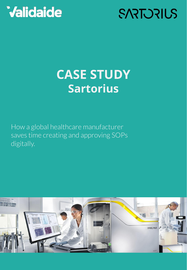# **SARTURIUS**

## **CASE STUDY Sartorius**

How a global healthcare manufacturer saves time creating and approving SOPs digitally.

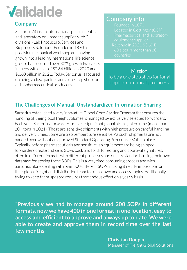#### **Company**

Sartorius AG is an international pharmaceutical and laboratory equipment supplier, with 2 divisions - Lab Products & Services and Bioprocess Solutions. Founded in 1870 as a precision mechanical workshop and having grown into a leading international life science group that recorded over 30% growth two years in a row with sales of \$2.64 billion in 2020 and \$3,60 billion in 2021. Today, Sartorius is focused on being a close partner and a one stop shop for all biopharmaceutical producers.

### Company info

- 
- 
- 
- 
- 

#### **Mission**

To be a one stop shop for for all biopharmaceutical producers.

### **The Challenges of Manual, Unstandardized Information Sharing**

Sartorius established a very innovative Global Core Carrier Program that ensures the handling of their global freight volumes is managed by exclusively selected forwarders. Each year, Sartorius' forwarders move a significant global air freight volume (more than 20K tons in 2021). These are sensitive shipments with high pressure on careful handling and delivery times. Some are also temperature sensitive. As such, shipments are not handed over without an approved Standard Operating Procedure (SOP) in place. Typically, before pharmaceuticals and sensitive lab equipment are being shipped, forwarders create and send SOPs back and forth for editing and approval signatures, often in different formats with different processes and quality standards, using their own database for storing these SOPs. This is a very time-consuming process and with Sartorius alone dealing with over 500 different SOPs, making it nearly impossible for their global freight and distribution team to track down and access copies. Additionally, trying to keep them updated requires tremendous effort on a yearly basis.

**"Previously we had to manage around 200 SOPs in different formats, now we have 400 in one format in one location, easy to access and efficient to approve and always up to date. We were able to create and approve them in record time over the last few months"**

> **Christian Doepke** Manager of Freight Global Solutions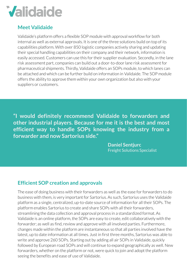### **Meet Validaide**

Validaide's platform offers a flexible SOP module with approval workflow for both internal as well as external approvals. It is one of the three solutions build on top of its capabilities platform. With over 850 logistic companies actively sharing and updating their special handling capabilities on their company and their network, information is easily accessed. Customers can use this for their supplier evaluation. Secondly, in the lane risk assessment part, companies can build out a door-to-door lane risk assessment for pharmaceutical shipments. Thirdly, Validaide offers an SOPs module, to which lanes can be attached and which can be further build on information in Validaide. The SOP module offers the ability to approve them within your own organization but also with your suppliers or customers.

**"I would definitely recommend Validaide to forwarders and other industrial players. Because for me it is the best and most efficient way to handle SOPs knowing the industry from a forwarder and now Sartorius side."**

> **Daniel Sentjurc** Freight Solutions Specialist

### **Efficient SOP creation and approvals**

The ease of doing business with their forwarders as well as the ease for forwarders to do business with them, is very important for Sartorius. As such, Sartorius uses the Validaide platform as a single, centralized, up-to-date source of information for all their SOPs. The platform enables Sartorius to create and share SOPs with all their forwarders, streamlining the data collection and approval process in a standardized format. As Validaide is an online platform, the SOPs are easy to create, edit collaboratively with the forwarder; as well as find, review and approve with all involved parties. Furthermore, changes made within the platform are instantaneous so that all parties involved have the latest, up to date information at all times. Just in first three months, Sartorius was able to write and approve 260 SOPs. Starting out by adding all air SOPs in Validaide, quickly followed by European road SOPs and will continue to expand geographically as well. New forwarders, whether on the platform or not, were quick to join and adopt the platform seeing the benefits and ease of use of Validaide.